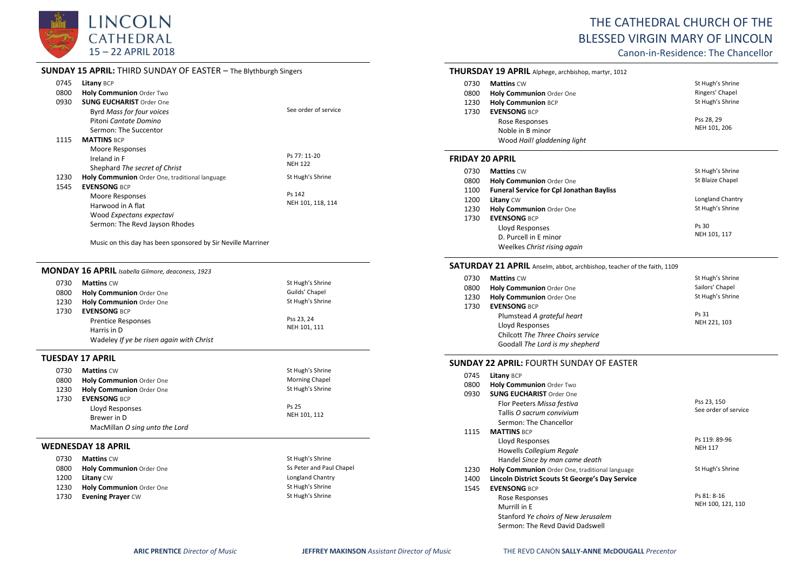

## **SUNDAY 15 APRIL:** THIRD SUNDAY OF EASTER – The Blythburgh Singers

| 0745 | Litany BCP                                     |                      |
|------|------------------------------------------------|----------------------|
| 0800 | Holy Communion Order Two                       |                      |
| 0930 | <b>SUNG EUCHARIST Order One</b>                |                      |
|      | <b>Byrd Mass for four voices</b>               | See order of service |
|      | Pitoni Cantate Domino                          |                      |
|      | Sermon: The Succentor                          |                      |
| 1115 | <b>MATTINS BCP</b>                             |                      |
|      | Moore Responses                                |                      |
|      | Ireland in F                                   | Ps 77: 11-20         |
|      | Shephard The secret of Christ                  | <b>NEH 122</b>       |
| 1230 | Holy Communion Order One, traditional language | St Hugh's Shrine     |
| 1545 | <b>EVENSONG BCP</b>                            |                      |
|      | Moore Responses                                | Ps 142               |
|      | Harwood in A flat                              | NEH 101, 118, 114    |
|      | Wood Expectans expectavi                       |                      |
|      | Sermon: The Revd Jayson Rhodes                 |                      |

Music on this day has been sponsored by Sir Neville Marriner

|      | <b>MONDAY 16 APRIL</b> Isabella Gilmore, deaconess, 1923 |                  |
|------|----------------------------------------------------------|------------------|
| 0730 | <b>Mattins CW</b>                                        | St Hugh's Shrine |
| 0800 | <b>Holy Communion Order One</b>                          | Guilds' Chapel   |
| 1230 | Holy Communion Order One                                 | St Hugh's Shrine |
| 1730 | <b>EVENSONG BCP</b>                                      |                  |
|      | <b>Prentice Responses</b>                                | Pss 23, 24       |
|      | Harris in D                                              | NEH 101, 111     |
|      | Wadeley If ye be risen again with Christ                 |                  |

#### **TUESDAY 17 APRIL**

| 0730 | <b>Mattins CW</b>               | St Hugh's Shrine      |
|------|---------------------------------|-----------------------|
| 0800 | <b>Holy Communion Order One</b> | <b>Morning Chapel</b> |
| 1230 | Holy Communion Order One        | St Hugh's Shrine      |
| 1730 | <b>EVENSONG BCP</b>             |                       |
|      | Lloyd Responses                 | Ps 25                 |
|      | Brewer in D                     | NEH 101, 112          |
|      | MacMillan O sing unto the Lord  |                       |

#### **WEDNESDAY 18 APRIL**

| 0730 | <b>Mattins CW</b>        | St Hugh's Shrine         |
|------|--------------------------|--------------------------|
| 0800 | Holy Communion Order One | Ss Peter and Paul Chapel |
| 1200 | <b>Litany CW</b>         | Longland Chantry         |
| 1230 | Holy Communion Order One | St Hugh's Shrine         |
| 1730 | <b>Evening Prayer CW</b> | St Hugh's Shrine         |

# THE CATHEDRAL CHURCH OF THE BLESSED VIRGIN MARY OF LINCOLN

Canon-in-Residence: The Chancellor

|                        | <b>THURSDAY 19 APRIL</b> Alphege, archbishop, martyr, 1012                               |                           |
|------------------------|------------------------------------------------------------------------------------------|---------------------------|
| 0730                   | <b>Mattins CW</b>                                                                        | St Hugh's Shrine          |
| 0800                   | <b>Holy Communion Order One</b>                                                          | Ringers' Chapel           |
| 1230                   | <b>Holy Communion BCP</b>                                                                | St Hugh's Shrine          |
| 1730                   | <b>EVENSONG BCP</b><br>Rose Responses<br>Noble in B minor<br>Wood Hail! gladdening light | Pss 28.29<br>NEH 101, 206 |
| <b>FRIDAY 20 APRIL</b> |                                                                                          |                           |
| 0730                   | <b>Mattins CW</b>                                                                        | St Hugh's Shrine          |
| 0000                   | $11 - 1.$ Communication $\alpha + \alpha$                                                | C+ Dinize Chanol          |

| 0800 | <b>Holy Communion Order One</b>                 | St Blaize Chapel |
|------|-------------------------------------------------|------------------|
| 1100 | <b>Funeral Service for Cpl Jonathan Bayliss</b> |                  |
| 1200 | <b>Litany CW</b>                                | Longland Chantry |
| 1230 | Holy Communion Order One                        | St Hugh's Shrine |
| 1730 | <b>EVENSONG BCP</b>                             |                  |
|      | Lloyd Responses                                 | Ps 30            |
|      | D. Purcell in E minor                           | NEH 101, 117     |
|      | Weelkes Christ rising again                     |                  |

#### SATURDAY 21 APRIL Anselm, abbot, archbishop, teacher of the faith, 1109

| 0730 | <b>Mattins CW</b>                 | St Hugh's Shrine |
|------|-----------------------------------|------------------|
| 0800 | <b>Holy Communion Order One</b>   | Sailors' Chapel  |
| 1230 | <b>Holy Communion Order One</b>   | St Hugh's Shrine |
| 1730 | <b>EVENSONG BCP</b>               |                  |
|      | Plumstead A grateful heart        | Ps 31            |
|      | Lloyd Responses                   | NEH 221, 103     |
|      | Chilcott The Three Choirs service |                  |
|      | Goodall The Lord is my shepherd   |                  |

## **SUNDAY 22 APRIL:** FOURTH SUNDAY OF EASTER

| 0745 | <b>Litany BCP</b>                               |                      |
|------|-------------------------------------------------|----------------------|
| 0800 | <b>Holy Communion Order Two</b>                 |                      |
| 0930 | <b>SUNG EUCHARIST Order One</b>                 |                      |
|      | Flor Peeters Missa festiva                      | Pss 23, 150          |
|      | Tallis O sacrum convivium                       | See order of service |
|      | Sermon: The Chancellor                          |                      |
| 1115 | <b>MATTINS BCP</b>                              |                      |
|      | Lloyd Responses                                 | Ps 119: 89-96        |
|      | Howells Collegium Regale                        | <b>NEH 117</b>       |
|      | Handel Since by man came death                  |                      |
| 1230 | Holy Communion Order One, traditional language  | St Hugh's Shrine     |
| 1400 | Lincoln District Scouts St George's Day Service |                      |
| 1545 | <b>EVENSONG BCP</b>                             |                      |
|      | Rose Responses                                  | Ps 81: 8-16          |
|      | Murrill in E                                    | NEH 100, 121, 110    |
|      | Stanford Ye choirs of New Jerusalem             |                      |
|      | Sermon: The Revd David Dadswell                 |                      |